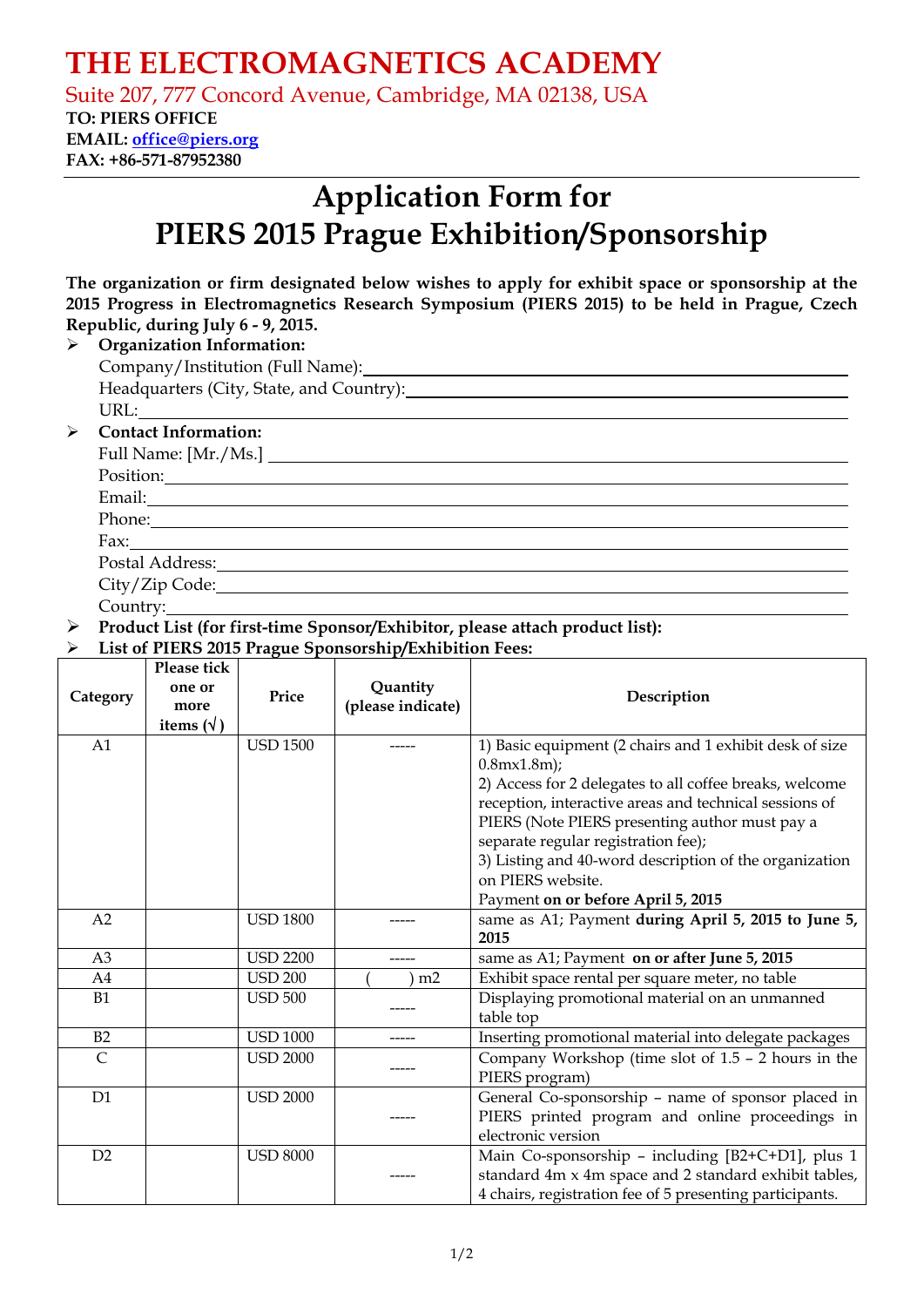## **THE ELECTROMAGNETICS ACADEMY**

Suite 207, 777 Concord Avenue, Cambridge, MA 02138, USA **TO: PIERS OFFICE** 

**EMAIL: office@piers.org FAX: +86-571-87952380** 

# **Application Form for PIERS 2015 Prague Exhibition/Sponsorship**

|                                            | The organization or firm designated below wishes to apply for exhibit space or sponsorship at the |  |  |  |
|--------------------------------------------|---------------------------------------------------------------------------------------------------|--|--|--|
|                                            | 2015 Progress in Electromagnetics Research Symposium (PIERS 2015) to be held in Prague, Czech     |  |  |  |
|                                            | Republic, during July 6 - 9, 2015.                                                                |  |  |  |
| $\triangleright$ Organization Information: |                                                                                                   |  |  |  |
|                                            |                                                                                                   |  |  |  |
|                                            |                                                                                                   |  |  |  |
|                                            | URL:                                                                                              |  |  |  |
| ≻                                          | <b>Contact Information:</b>                                                                       |  |  |  |
|                                            | Full Name: [Mr./Ms.]                                                                              |  |  |  |
|                                            |                                                                                                   |  |  |  |
|                                            |                                                                                                   |  |  |  |
|                                            | Phone:                                                                                            |  |  |  |
|                                            | Fax: $\qquad \qquad$                                                                              |  |  |  |
|                                            |                                                                                                   |  |  |  |
|                                            | City/Zip Code:                                                                                    |  |  |  |
|                                            | Country:                                                                                          |  |  |  |

¾ **Product List (for first-time Sponsor/Exhibitor, please attach product list):**

#### ¾ **List of PIERS 2015 Prague Sponsorship/Exhibition Fees:**

| Category       | Please tick<br>one or<br>more<br>items $(\forall)$ | Price           | Quantity<br>(please indicate) | Description                                                                                                                                                                                                                                                                                                                                                                                                           |
|----------------|----------------------------------------------------|-----------------|-------------------------------|-----------------------------------------------------------------------------------------------------------------------------------------------------------------------------------------------------------------------------------------------------------------------------------------------------------------------------------------------------------------------------------------------------------------------|
| A1             |                                                    | <b>USD 1500</b> |                               | 1) Basic equipment (2 chairs and 1 exhibit desk of size<br>$0.8$ m $\times$ 1.8m);<br>2) Access for 2 delegates to all coffee breaks, welcome<br>reception, interactive areas and technical sessions of<br>PIERS (Note PIERS presenting author must pay a<br>separate regular registration fee);<br>3) Listing and 40-word description of the organization<br>on PIERS website.<br>Payment on or before April 5, 2015 |
| A2             |                                                    | <b>USD 1800</b> |                               | same as A1; Payment during April 5, 2015 to June 5,<br>2015                                                                                                                                                                                                                                                                                                                                                           |
| A <sub>3</sub> |                                                    | <b>USD 2200</b> |                               | same as A1; Payment on or after June 5, 2015                                                                                                                                                                                                                                                                                                                                                                          |
| A4             |                                                    | <b>USD 200</b>  | m <sub>2</sub>                | Exhibit space rental per square meter, no table                                                                                                                                                                                                                                                                                                                                                                       |
| <b>B1</b>      |                                                    | <b>USD 500</b>  |                               | Displaying promotional material on an unmanned<br>table top                                                                                                                                                                                                                                                                                                                                                           |
| B2             |                                                    | <b>USD 1000</b> |                               | Inserting promotional material into delegate packages                                                                                                                                                                                                                                                                                                                                                                 |
| $\overline{C}$ |                                                    | <b>USD 2000</b> |                               | Company Workshop (time slot of 1.5 - 2 hours in the<br>PIERS program)                                                                                                                                                                                                                                                                                                                                                 |
| D1             |                                                    | <b>USD 2000</b> |                               | General Co-sponsorship - name of sponsor placed in<br>PIERS printed program and online proceedings in<br>electronic version                                                                                                                                                                                                                                                                                           |
| D2             |                                                    | <b>USD 8000</b> |                               | Main Co-sponsorship - including [B2+C+D1], plus 1<br>standard 4m x 4m space and 2 standard exhibit tables,<br>4 chairs, registration fee of 5 presenting participants.                                                                                                                                                                                                                                                |